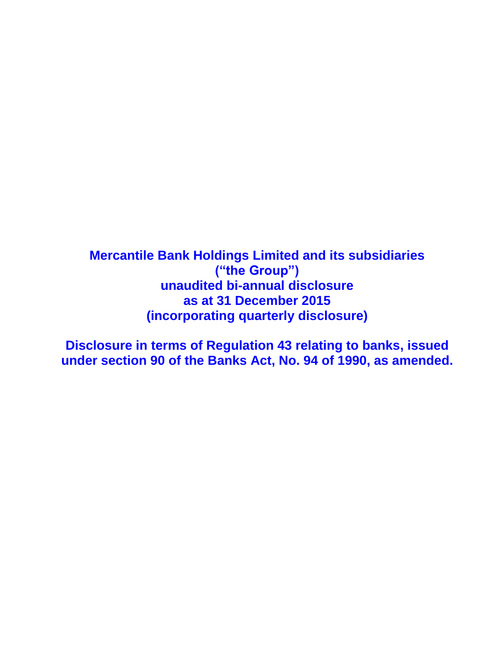**Mercantile Bank Holdings Limited and its subsidiaries ("the Group") unaudited bi-annual disclosure as at 31 December 2015 (incorporating quarterly disclosure)**

**Disclosure in terms of Regulation 43 relating to banks, issued under section 90 of the Banks Act, No. 94 of 1990, as amended.**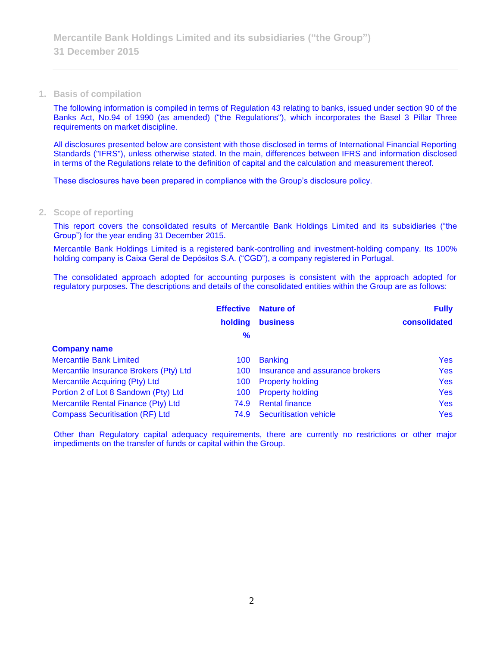#### **1. Basis of compilation**

The following information is compiled in terms of Regulation 43 relating to banks, issued under section 90 of the Banks Act, No.94 of 1990 (as amended) ("the Regulations"), which incorporates the Basel 3 Pillar Three requirements on market discipline.

All disclosures presented below are consistent with those disclosed in terms of International Financial Reporting Standards ("IFRS"), unless otherwise stated. In the main, differences between IFRS and information disclosed in terms of the Regulations relate to the definition of capital and the calculation and measurement thereof.

These disclosures have been prepared in compliance with the Group's disclosure policy.

#### **2. Scope of reporting**

This report covers the consolidated results of Mercantile Bank Holdings Limited and its subsidiaries ("the Group") for the year ending 31 December 2015.

Mercantile Bank Holdings Limited is a registered bank-controlling and investment-holding company. Its 100% holding company is Caixa Geral de Depósitos S.A. ("CGD"), a company registered in Portugal.

The consolidated approach adopted for accounting purposes is consistent with the approach adopted for regulatory purposes. The descriptions and details of the consolidated entities within the Group are as follows:

|                                        | <b>Effective</b> | <b>Nature of</b>                | <b>Fully</b> |
|----------------------------------------|------------------|---------------------------------|--------------|
|                                        | holding          | <b>business</b>                 | consolidated |
|                                        | %                |                                 |              |
| <b>Company name</b>                    |                  |                                 |              |
| <b>Mercantile Bank Limited</b>         | 100              | <b>Banking</b>                  | <b>Yes</b>   |
| Mercantile Insurance Brokers (Pty) Ltd | 100              | Insurance and assurance brokers | <b>Yes</b>   |
| <b>Mercantile Acquiring (Pty) Ltd</b>  | 100              | <b>Property holding</b>         | <b>Yes</b>   |
| Portion 2 of Lot 8 Sandown (Pty) Ltd   | 100              | <b>Property holding</b>         | <b>Yes</b>   |
| Mercantile Rental Finance (Pty) Ltd    | 74.9             | <b>Rental finance</b>           | <b>Yes</b>   |
| <b>Compass Securitisation (RF) Ltd</b> | 74.9             | <b>Securitisation vehicle</b>   | <b>Yes</b>   |

Other than Regulatory capital adequacy requirements, there are currently no restrictions or other major impediments on the transfer of funds or capital within the Group.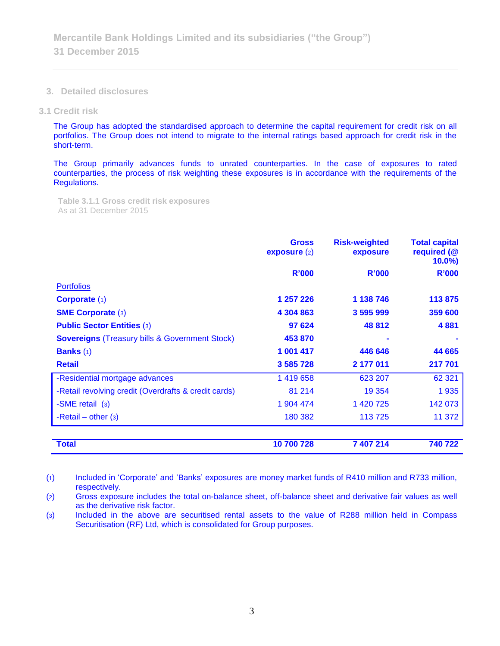**3. Detailed disclosures**

**3.1 Credit risk**

The Group has adopted the standardised approach to determine the capital requirement for credit risk on all portfolios. The Group does not intend to migrate to the internal ratings based approach for credit risk in the short-term.

The Group primarily advances funds to unrated counterparties. In the case of exposures to rated counterparties, the process of risk weighting these exposures is in accordance with the requirements of the Regulations.

**Table 3.1.1 Gross credit risk exposures**  As at 31 December 2015

|                                                           | <b>Gross</b><br>exposure $(2)$ | <b>Risk-weighted</b><br>exposure | <b>Total capital</b><br>required (@<br>$10.0\%$ |
|-----------------------------------------------------------|--------------------------------|----------------------------------|-------------------------------------------------|
|                                                           | <b>R'000</b>                   | R'000                            | R'000                                           |
| <b>Portfolios</b>                                         |                                |                                  |                                                 |
| Corporate $(1)$                                           | 1 257 226                      | 1 138 746                        | 113875                                          |
| <b>SME Corporate (3)</b>                                  | 4 304 863                      | 3 595 999                        | 359 600                                         |
| <b>Public Sector Entities (3)</b>                         | 97 624                         | 48 812                           | 4881                                            |
| <b>Sovereigns (Treasury bills &amp; Government Stock)</b> | 453 870                        |                                  |                                                 |
| <b>Banks</b> $(1)$                                        | 1 001 417                      | 446 646                          | 44 665                                          |
| <b>Retail</b>                                             | 3 585 728                      | 2 177 011                        | 217 701                                         |
| -Residential mortgage advances                            | 1 419 658                      | 623 207                          | 62 3 21                                         |
| -Retail revolving credit (Overdrafts & credit cards)      | 81 214                         | 19 354                           | 1935                                            |
| -SME retail (3)                                           | 1 904 474                      | 1 420 725                        | 142 073                                         |
| -Retail – other $(3)$                                     | 180 382                        | 113725                           | 11 372                                          |
| Total                                                     | 10 700 728                     | 7 407 214                        | 740 722                                         |

(1) Included in 'Corporate' and 'Banks' exposures are money market funds of R410 million and R733 million, respectively.

(2) Gross exposure includes the total on-balance sheet, off-balance sheet and derivative fair values as well as the derivative risk factor.

(3) Included in the above are securitised rental assets to the value of R288 million held in Compass Securitisation (RF) Ltd, which is consolidated for Group purposes.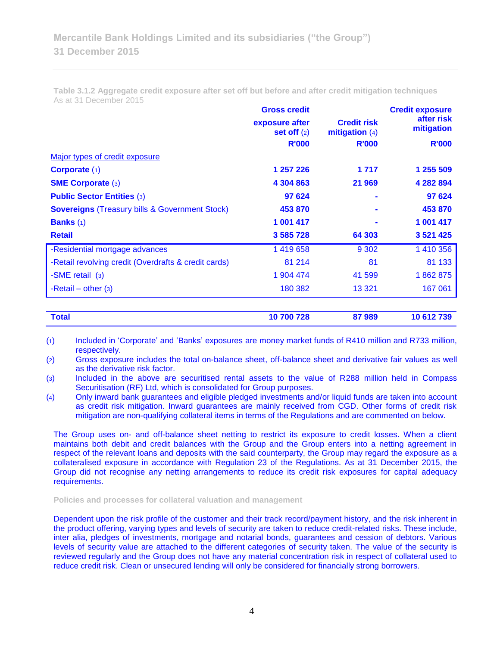|                                                           | <b>Gross credit</b>             |                                        | <b>Credit exposure</b>   |
|-----------------------------------------------------------|---------------------------------|----------------------------------------|--------------------------|
|                                                           | exposure after<br>set off $(2)$ | <b>Credit risk</b><br>mitigation $(4)$ | after risk<br>mitigation |
|                                                           | <b>R'000</b>                    | <b>R'000</b>                           | <b>R'000</b>             |
| Major types of credit exposure                            |                                 |                                        |                          |
| Corporate (1)                                             | 1 257 226                       | 1 7 1 7                                | 1 255 509                |
| <b>SME Corporate (3)</b>                                  | 4 304 863                       | 21 969                                 | 4 282 894                |
| <b>Public Sector Entities (3)</b>                         | 97 624                          |                                        | 97 624                   |
| <b>Sovereigns (Treasury bills &amp; Government Stock)</b> | 453 870                         |                                        | 453 870                  |
| <b>Banks</b> $(1)$                                        | 1 001 417                       |                                        | 1 001 417                |
| <b>Retail</b>                                             | 3 585 728                       | 64 303                                 | 3 5 21 4 25              |
| -Residential mortgage advances                            | 1 419 658                       | 9 3 0 2                                | 1 410 356                |
| -Retail revolving credit (Overdrafts & credit cards)      | 81 214                          | 81                                     | 81 133                   |
| -SME retail (3)                                           | 1 904 474                       | 41 599                                 | 1862875                  |
| -Retail – other $(3)$                                     | 180 382                         | 13 3 21                                | 167 061                  |
|                                                           |                                 |                                        |                          |

**Table 3.1.2 Aggregate credit exposure after set off but before and after credit mitigation techniques** As at 31 December 2015

| <b>Total</b> | 10 700 728 | 87989 | 10 612 739 |
|--------------|------------|-------|------------|
|              |            |       |            |

(1) Included in 'Corporate' and 'Banks' exposures are money market funds of R410 million and R733 million, respectively.

(2) Gross exposure includes the total on-balance sheet, off-balance sheet and derivative fair values as well as the derivative risk factor.

(3) Included in the above are securitised rental assets to the value of R288 million held in Compass Securitisation (RF) Ltd, which is consolidated for Group purposes.

(4) Only inward bank guarantees and eligible pledged investments and/or liquid funds are taken into account as credit risk mitigation. Inward guarantees are mainly received from CGD. Other forms of credit risk mitigation are non-qualifying collateral items in terms of the Regulations and are commented on below.

The Group uses on- and off-balance sheet netting to restrict its exposure to credit losses. When a client maintains both debit and credit balances with the Group and the Group enters into a netting agreement in respect of the relevant loans and deposits with the said counterparty, the Group may regard the exposure as a collateralised exposure in accordance with Regulation 23 of the Regulations. As at 31 December 2015, the Group did not recognise any netting arrangements to reduce its credit risk exposures for capital adequacy requirements.

**Policies and processes for collateral valuation and management**

Dependent upon the risk profile of the customer and their track record/payment history, and the risk inherent in the product offering, varying types and levels of security are taken to reduce credit-related risks. These include, inter alia, pledges of investments, mortgage and notarial bonds, guarantees and cession of debtors. Various levels of security value are attached to the different categories of security taken. The value of the security is reviewed regularly and the Group does not have any material concentration risk in respect of collateral used to reduce credit risk. Clean or unsecured lending will only be considered for financially strong borrowers.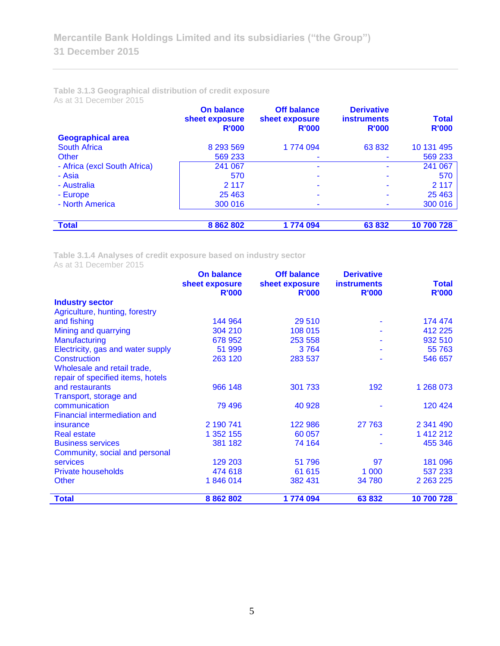## **Table 3.1.3 Geographical distribution of credit exposure** As at 31 December 2015

|                              | <b>On balance</b><br>sheet exposure<br><b>R'000</b> | <b>Off balance</b><br>sheet exposure<br><b>R'000</b> | <b>Derivative</b><br><b>instruments</b><br><b>R'000</b> | <b>Total</b><br><b>R'000</b> |
|------------------------------|-----------------------------------------------------|------------------------------------------------------|---------------------------------------------------------|------------------------------|
| <b>Geographical area</b>     |                                                     |                                                      |                                                         |                              |
| <b>South Africa</b>          | 8 293 569                                           | 1774 094                                             | 63 832                                                  | 10 131 495                   |
| Other                        | 569 233                                             |                                                      |                                                         | 569 233                      |
| - Africa (excl South Africa) | 241 067                                             | ۰                                                    | ۰                                                       | 241 067                      |
| - Asia                       | 570                                                 |                                                      |                                                         | 570                          |
| - Australia                  | 2 1 1 7                                             |                                                      |                                                         | 2 1 1 7                      |
| - Europe                     | 25 4 63                                             |                                                      |                                                         | 25 4 63                      |
| - North America              | 300 016                                             |                                                      |                                                         | 300 016                      |
| <b>Total</b>                 | 8 8 6 2 8 0 2                                       | 1774 094                                             | 63832                                                   | 10 700 728                   |

**Table 3.1.4 Analyses of credit exposure based on industry sector** As at 31 December 2015

|                                     | <b>On balance</b> | <b>Off balance</b> | <b>Derivative</b>  |               |
|-------------------------------------|-------------------|--------------------|--------------------|---------------|
|                                     | sheet exposure    | sheet exposure     | <b>instruments</b> | <b>Total</b>  |
|                                     | <b>R'000</b>      | <b>R'000</b>       | <b>R'000</b>       | <b>R'000</b>  |
| <b>Industry sector</b>              |                   |                    |                    |               |
| Agriculture, hunting, forestry      |                   |                    |                    |               |
| and fishing                         | 144 964           | 29 510             |                    | 174 474       |
| Mining and quarrying                | 304 210           | 108 015            |                    | 412 225       |
| <b>Manufacturing</b>                | 678 952           | 253 558            |                    | 932 510       |
| Electricity, gas and water supply   | 51 999            | 3764               |                    | 55 763        |
| <b>Construction</b>                 | 263 120           | 283 537            |                    | 546 657       |
| Wholesale and retail trade,         |                   |                    |                    |               |
| repair of specified items, hotels   |                   |                    |                    |               |
| and restaurants                     | 966 148           | 301 733            | 192                | 1 268 073     |
| Transport, storage and              |                   |                    |                    |               |
| communication                       | 79 496            | 40 928             |                    | 120 424       |
| <b>Financial intermediation and</b> |                   |                    |                    |               |
| insurance                           | 2 190 741         | 122 986            | 27 763             | 2 341 490     |
| <b>Real estate</b>                  | 1 352 155         | 60 057             |                    | 1 412 212     |
| <b>Business services</b>            | 381 182           | 74 164             |                    | 455 346       |
| Community, social and personal      |                   |                    |                    |               |
| services                            | 129 203           | 51 796             | 97                 | 181 096       |
| <b>Private households</b>           | 474 618           | 61 615             | 1 0 0 0            | 537 233       |
| Other                               | 1846014           | 382 431            | 34 780             | 2 2 6 3 2 2 5 |
| Total                               | 8 8 6 2 8 0 2     | 1774 094           | 63832              | 10 700 728    |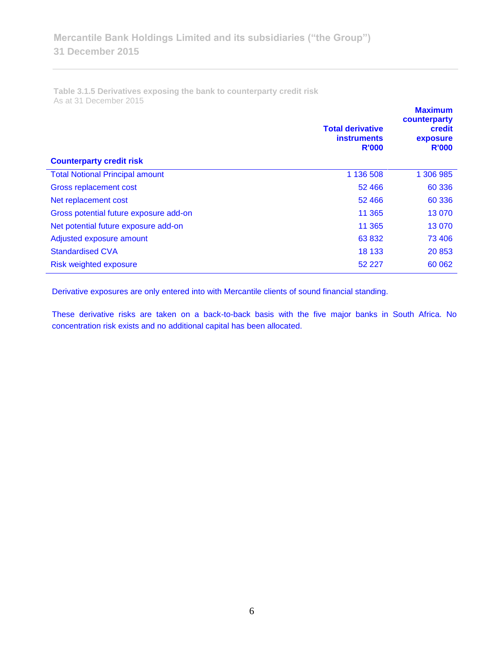**Table 3.1.5 Derivatives exposing the bank to counterparty credit risk**  As at 31 December 2015

| <b>Counterparty credit risk</b>        | <b>Total derivative</b><br><b>instruments</b><br><b>R'000</b> | <b>Maximum</b><br>counterparty<br>credit<br>exposure<br><b>R'000</b> |
|----------------------------------------|---------------------------------------------------------------|----------------------------------------------------------------------|
| <b>Total Notional Principal amount</b> | 1 136 508                                                     | 1 306 985                                                            |
| Gross replacement cost                 | 52 4 66                                                       | 60 336                                                               |
| Net replacement cost                   | 52 4 66                                                       | 60 336                                                               |
| Gross potential future exposure add-on | 11 365                                                        | 13 0 70                                                              |
| Net potential future exposure add-on   | 11 365                                                        | 13 0 70                                                              |
| Adjusted exposure amount               | 63 832                                                        | 73 406                                                               |
| <b>Standardised CVA</b>                | 18 133                                                        | 20 853                                                               |
| Risk weighted exposure                 | 52 2 2 7                                                      | 60 062                                                               |

Derivative exposures are only entered into with Mercantile clients of sound financial standing.

These derivative risks are taken on a back-to-back basis with the five major banks in South Africa. No concentration risk exists and no additional capital has been allocated.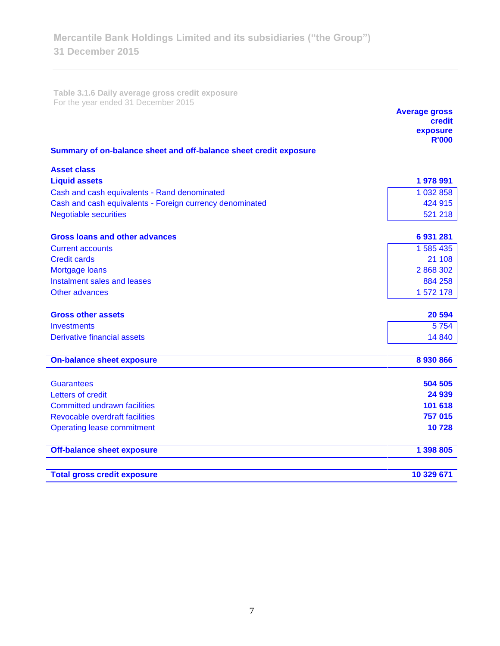**Table 3.1.6 Daily average gross credit exposure**  For the year ended 31 December 2015

|                                                                   | <b>Average gross</b><br>credit<br>exposure |
|-------------------------------------------------------------------|--------------------------------------------|
|                                                                   | <b>R'000</b>                               |
| Summary of on-balance sheet and off-balance sheet credit exposure |                                            |
| <b>Asset class</b>                                                |                                            |
| <b>Liquid assets</b>                                              | 1978991                                    |
| Cash and cash equivalents - Rand denominated                      | 1 032 858                                  |
| Cash and cash equivalents - Foreign currency denominated          | 424 915                                    |
| <b>Negotiable securities</b>                                      | 521 218                                    |
| <b>Gross loans and other advances</b>                             | 6 931 281                                  |
| <b>Current accounts</b>                                           | 1 585 435                                  |
| <b>Credit cards</b>                                               | 21 108                                     |
| Mortgage loans                                                    | 2 868 302                                  |
| Instalment sales and leases                                       | 884 258                                    |
| Other advances                                                    | 1 572 178                                  |
| <b>Gross other assets</b>                                         | 20 594                                     |
| <b>Investments</b>                                                | 5754                                       |
| <b>Derivative financial assets</b>                                | 14 840                                     |
| <b>On-balance sheet exposure</b>                                  | 8 930 866                                  |
|                                                                   |                                            |
| <b>Guarantees</b>                                                 | 504 505                                    |
| Letters of credit                                                 | 24 939                                     |
| <b>Committed undrawn facilities</b>                               | 101 618                                    |
| <b>Revocable overdraft facilities</b>                             | 757 015                                    |
| <b>Operating lease commitment</b>                                 | 10728                                      |
| <b>Off-balance sheet exposure</b>                                 | 1 398 805                                  |
| <b>Total gross credit exposure</b>                                | 10 329 671                                 |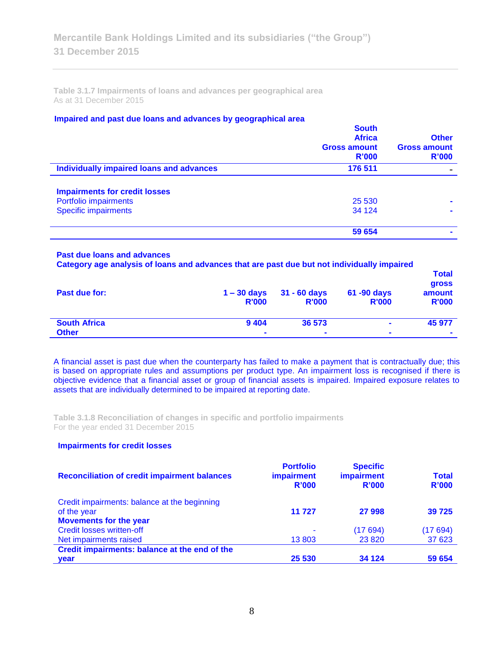**Table 3.1.7 Impairments of loans and advances per geographical area**  As at 31 December 2015

## **Impaired and past due loans and advances by geographical area**

|                                          | <b>South</b><br><b>Africa</b><br><b>Gross amount</b><br>R'000 | <b>Other</b><br><b>Gross amount</b><br>R'000 |
|------------------------------------------|---------------------------------------------------------------|----------------------------------------------|
| Individually impaired loans and advances | 176 511                                                       |                                              |
| <b>Impairments for credit losses</b>     |                                                               |                                              |
| Portfolio impairments                    | 25 530                                                        | $\blacksquare$                               |
| <b>Specific impairments</b>              | 34 1 24                                                       |                                              |
|                                          | 59 654                                                        |                                              |

#### **Past due loans and advances**

**Category age analysis of loans and advances that are past due but not individually impaired** 

| Past due for:       | $1 - 30$ days<br><b>R'000</b> | $31 - 60$ days<br><b>R'000</b> | 61 -90 days<br><b>R'000</b> | <u>i otal</u><br>gross<br>amount<br><b>R'000</b> |
|---------------------|-------------------------------|--------------------------------|-----------------------------|--------------------------------------------------|
| <b>South Africa</b> | 9404                          | 36 573                         | $\blacksquare$              | 45 977                                           |
| <b>Other</b>        | $\blacksquare$                | $\overline{\phantom{a}}$       | $\blacksquare$              | $\blacksquare$                                   |

**Total** 

A financial asset is past due when the counterparty has failed to make a payment that is contractually due; this is based on appropriate rules and assumptions per product type. An impairment loss is recognised if there is objective evidence that a financial asset or group of financial assets is impaired. Impaired exposure relates to assets that are individually determined to be impaired at reporting date.

**Table 3.1.8 Reconciliation of changes in specific and portfolio impairments**  For the year ended 31 December 2015

# **Impairments for credit losses**

| <b>Reconciliation of credit impairment balances</b> | <b>Portfolio</b><br>impairment<br>R'000 | <b>Specific</b><br><b>impairment</b><br>R'000 | <b>Total</b><br><b>R'000</b> |
|-----------------------------------------------------|-----------------------------------------|-----------------------------------------------|------------------------------|
| Credit impairments: balance at the beginning        |                                         |                                               |                              |
| of the year                                         | 11 727                                  | 27 998                                        | 39 7 25                      |
| <b>Movements for the year</b>                       |                                         |                                               |                              |
| Credit losses written-off                           | ٠                                       | (17694)                                       | (17694)                      |
| Net impairments raised                              | 13803                                   | 23 8 20                                       | 37 623                       |
| Credit impairments: balance at the end of the       |                                         |                                               |                              |
| year                                                | 25 530                                  | 34 1 24                                       | 59 654                       |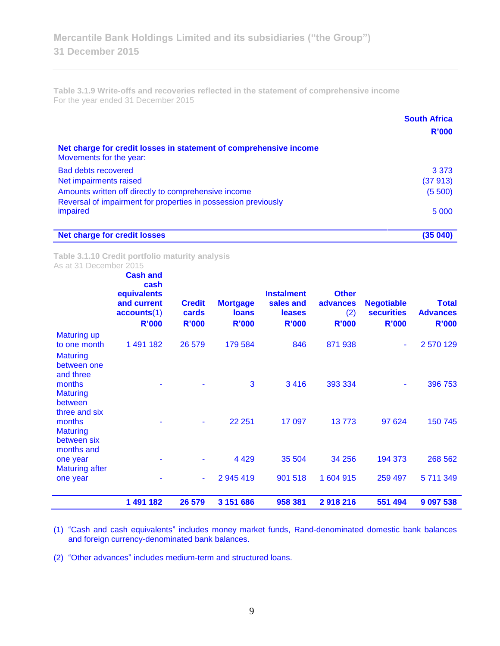**Table 3.1.9 Write-offs and recoveries reflected in the statement of comprehensive income** For the year ended 31 December 2015

|                                                                                              | <b>South Africa</b><br><b>R'000</b> |
|----------------------------------------------------------------------------------------------|-------------------------------------|
| Net charge for credit losses in statement of comprehensive income<br>Movements for the year: |                                     |
| <b>Bad debts recovered</b>                                                                   | 3 3 7 3                             |
| Net impairments raised                                                                       | (37913)                             |
| Amounts written off directly to comprehensive income                                         | (5500)                              |
| Reversal of impairment for properties in possession previously                               |                                     |
| impaired                                                                                     | 5 0 0 0                             |
| <b>Net charge for credit losses</b>                                                          | (35 040)                            |

**Table 3.1.10 Credit portfolio maturity analysis** As at 31 December 2015

|                                                        | <b>Cash and</b><br>cash<br>equivalents<br>and current<br>accounts(1)<br><b>R'000</b> | <b>Credit</b><br>cards<br><b>R'000</b> | <b>Mortgage</b><br><b>loans</b><br><b>R'000</b> | <b>Instalment</b><br>sales and<br><b>leases</b><br><b>R'000</b> | <b>Other</b><br>advances<br>(2)<br><b>R'000</b> | <b>Negotiable</b><br><b>securities</b><br><b>R'000</b> | <b>Total</b><br><b>Advances</b><br><b>R'000</b> |
|--------------------------------------------------------|--------------------------------------------------------------------------------------|----------------------------------------|-------------------------------------------------|-----------------------------------------------------------------|-------------------------------------------------|--------------------------------------------------------|-------------------------------------------------|
| <b>Maturing up</b><br>to one month                     | 1 491 182                                                                            | 26 579                                 | 179 584                                         | 846                                                             | 871 938                                         | ٠                                                      | 2 570 129                                       |
| <b>Maturing</b><br>between one<br>and three            |                                                                                      |                                        |                                                 |                                                                 |                                                 |                                                        |                                                 |
| months<br><b>Maturing</b><br>between<br>three and six  |                                                                                      |                                        | 3                                               | 3416                                                            | 393 334                                         |                                                        | 396 753                                         |
| months<br><b>Maturing</b><br>between six<br>months and |                                                                                      |                                        | 22 251                                          | 17 097                                                          | 13773                                           | 97 624                                                 | 150 745                                         |
| one year<br><b>Maturing after</b>                      |                                                                                      |                                        | 4 4 2 9                                         | 35 504                                                          | 34 256                                          | 194 373                                                | 268 562                                         |
| one year                                               |                                                                                      | ۰                                      | 2 945 419                                       | 901 518                                                         | 1 604 915                                       | 259 497                                                | 5711349                                         |
|                                                        | 1 491 182                                                                            | 26 579                                 | 3 151 686                                       | 958 381                                                         | 2918216                                         | 551 494                                                | 9 097 538                                       |

(1) "Cash and cash equivalents" includes money market funds, Rand-denominated domestic bank balances and foreign currency-denominated bank balances.

(2) "Other advances" includes medium-term and structured loans.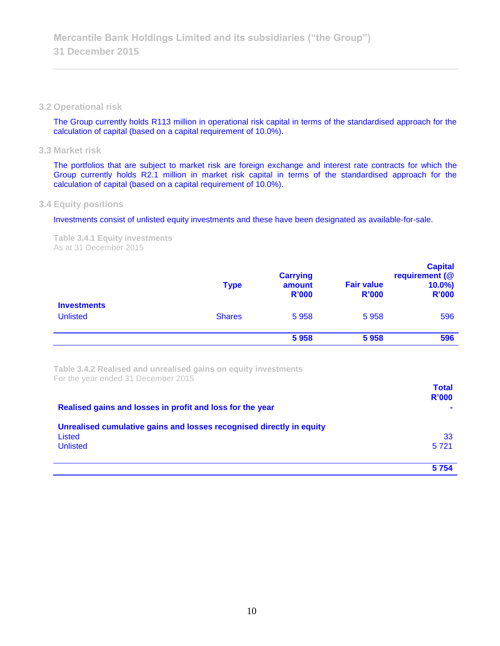#### **3.2 Operational risk**

The Group currently holds R113 million in operational risk capital in terms of the standardised approach for the calculation of capital (based on a capital requirement of 10.0%).

# **3.3 Market risk**

The portfolios that are subject to market risk are foreign exchange and interest rate contracts for which the Group currently holds R2.1 million in market risk capital in terms of the standardised approach for the calculation of capital (based on a capital requirement of 10.0%).

# **3.4 Equity positions**

Investments consist of unlisted equity investments and these have been designated as available-for-sale.

**Table 3.4.1 Equity investments** As at 31 December 2015

|                                       | <b>Type</b>   | <b>Carrying</b><br>amount<br><b>R'000</b> | <b>Fair value</b><br><b>R'000</b> | <b>Capital</b><br>requirement (@<br>$10.0\%$<br><b>R'000</b> |
|---------------------------------------|---------------|-------------------------------------------|-----------------------------------|--------------------------------------------------------------|
| <b>Investments</b><br><b>Unlisted</b> | <b>Shares</b> | 5958                                      | 5958                              | 596                                                          |
|                                       |               | 5958                                      | 5958                              | 596                                                          |

**Table 3.4.2 Realised and unrealised gains on equity investments** For the year ended 31 December 2015

| Realised gains and losses in profit and loss for the year            | <b>Total</b><br>R'000 |
|----------------------------------------------------------------------|-----------------------|
| Unrealised cumulative gains and losses recognised directly in equity |                       |
| Listed<br><b>Unlisted</b>                                            | 33<br>5 7 2 1         |
|                                                                      | 5754                  |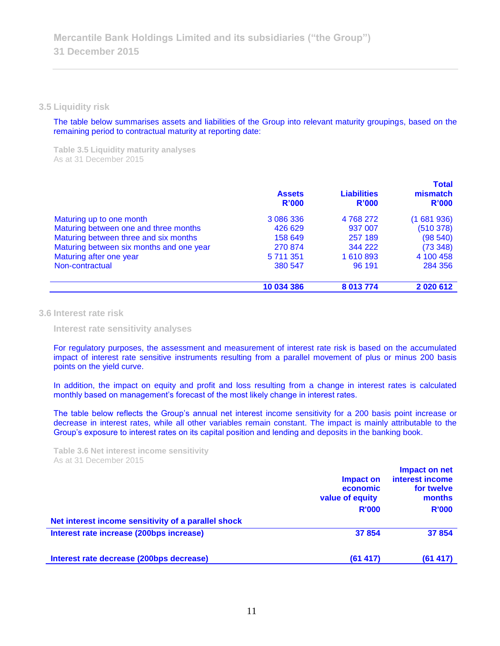**3.5 Liquidity risk** 

The table below summarises assets and liabilities of the Group into relevant maturity groupings, based on the remaining period to contractual maturity at reporting date:

**Table 3.5 Liquidity maturity analyses** As at 31 December 2015

|                                          | <b>Assets</b><br>R'000 | <b>Liabilities</b><br><b>R'000</b> | <b>Total</b><br>mismatch<br>R'000 |
|------------------------------------------|------------------------|------------------------------------|-----------------------------------|
| Maturing up to one month                 | 3 086 336              | 4768272                            | (1681936)                         |
| Maturing between one and three months    | 426 629                | 937 007                            | (510378)                          |
| Maturing between three and six months    | 158 649                | 257 189                            | (98540)                           |
| Maturing between six months and one year | 270 874                | 344 222                            | (73348)                           |
| Maturing after one year                  | 5 711 351              | 1 610 893                          | 4 100 458                         |
| Non-contractual                          | 380 547                | 96 191                             | 284 356                           |
|                                          | 10 034 386             | 8 013 774                          | 2 0 20 6 12                       |

**3.6 Interest rate risk** 

**Interest rate sensitivity analyses**

For regulatory purposes, the assessment and measurement of interest rate risk is based on the accumulated impact of interest rate sensitive instruments resulting from a parallel movement of plus or minus 200 basis points on the yield curve.

In addition, the impact on equity and profit and loss resulting from a change in interest rates is calculated monthly based on management's forecast of the most likely change in interest rates.

The table below reflects the Group's annual net interest income sensitivity for a 200 basis point increase or decrease in interest rates, while all other variables remain constant. The impact is mainly attributable to the Group's exposure to interest rates on its capital position and lending and deposits in the banking book.

**Table 3.6 Net interest income sensitivity** As at 31 December 2015

|                                                     | Impact on<br>economic<br>value of equity<br><b>R'000</b> | Impact on net<br>interest income<br>for twelve<br>months<br><b>R'000</b> |
|-----------------------------------------------------|----------------------------------------------------------|--------------------------------------------------------------------------|
| Net interest income sensitivity of a parallel shock |                                                          |                                                                          |
| Interest rate increase (200bps increase)            | 37 854                                                   | 37 854                                                                   |
| Interest rate decrease (200bps decrease)            | (61417)                                                  | (61 417)                                                                 |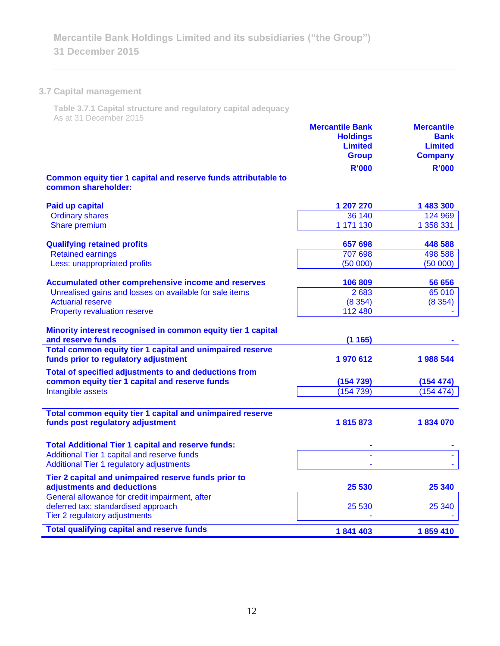# **3.7 Capital management**

**Table 3.7.1 Capital structure and regulatory capital adequacy** As at 31 December 2015

|                                                                                                   | <b>Mercantile Bank</b><br><b>Holdings</b><br><b>Limited</b><br><b>Group</b> | <b>Mercantile</b><br><b>Bank</b><br><b>Limited</b><br><b>Company</b> |
|---------------------------------------------------------------------------------------------------|-----------------------------------------------------------------------------|----------------------------------------------------------------------|
|                                                                                                   | R'000                                                                       | R'000                                                                |
| Common equity tier 1 capital and reserve funds attributable to<br>common shareholder:             |                                                                             |                                                                      |
| Paid up capital                                                                                   | 1 207 270                                                                   | 1 483 300                                                            |
| <b>Ordinary shares</b>                                                                            | 36 140                                                                      | 124 969                                                              |
| Share premium                                                                                     | 1 171 130                                                                   | 1 358 331                                                            |
| <b>Qualifying retained profits</b>                                                                | 657 698                                                                     | 448 588                                                              |
| <b>Retained earnings</b>                                                                          | 707 698                                                                     | 498 588                                                              |
| Less: unappropriated profits                                                                      | (50000)                                                                     | (50000)                                                              |
| Accumulated other comprehensive income and reserves                                               | 106 809                                                                     | 56 656                                                               |
| Unrealised gains and losses on available for sale items                                           | 2683                                                                        | 65 010                                                               |
| <b>Actuarial reserve</b>                                                                          | (8354)                                                                      | (8354)                                                               |
| <b>Property revaluation reserve</b>                                                               | 112 480                                                                     |                                                                      |
| Minority interest recognised in common equity tier 1 capital                                      |                                                                             |                                                                      |
| and reserve funds                                                                                 | (1165)                                                                      |                                                                      |
| Total common equity tier 1 capital and unimpaired reserve<br>funds prior to regulatory adjustment | 1970612                                                                     | 1988544                                                              |
| Total of specified adjustments to and deductions from                                             |                                                                             |                                                                      |
| common equity tier 1 capital and reserve funds                                                    | (154739)                                                                    | (154 474)                                                            |
| Intangible assets                                                                                 | (154 739)                                                                   | (154 474)                                                            |
|                                                                                                   |                                                                             |                                                                      |
| Total common equity tier 1 capital and unimpaired reserve                                         |                                                                             |                                                                      |
| funds post regulatory adjustment                                                                  | 1815873                                                                     | 1834070                                                              |
| <b>Total Additional Tier 1 capital and reserve funds:</b>                                         |                                                                             |                                                                      |
| Additional Tier 1 capital and reserve funds                                                       |                                                                             |                                                                      |
| Additional Tier 1 regulatory adjustments                                                          |                                                                             |                                                                      |
| Tier 2 capital and unimpaired reserve funds prior to                                              |                                                                             |                                                                      |
| adjustments and deductions                                                                        | 25 530                                                                      | 25 340                                                               |
| General allowance for credit impairment, after                                                    |                                                                             |                                                                      |
| deferred tax: standardised approach                                                               | 25 530                                                                      | 25 340                                                               |
| Tier 2 regulatory adjustments                                                                     |                                                                             |                                                                      |
| <b>Total qualifying capital and reserve funds</b>                                                 | 1841403                                                                     | 1859410                                                              |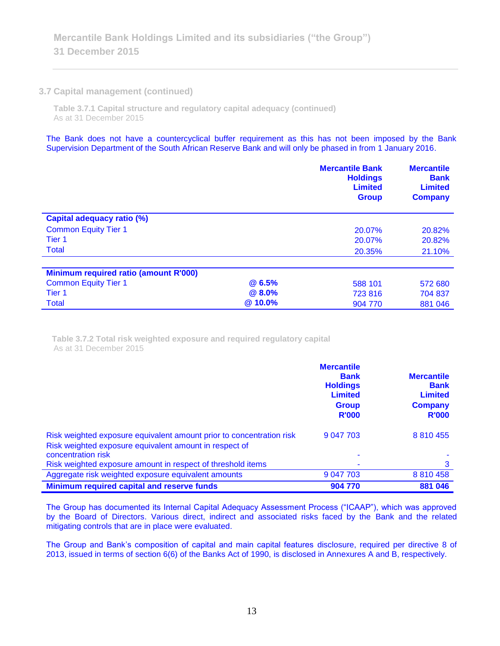## **3.7 Capital management (continued)**

**Table 3.7.1 Capital structure and regulatory capital adequacy (continued)** As at 31 December 2015

The Bank does not have a countercyclical buffer requirement as this has not been imposed by the Bank Supervision Department of the South African Reserve Bank and will only be phased in from 1 January 2016.

|                                              |              | <b>Mercantile Bank</b><br><b>Holdings</b><br><b>Limited</b><br><b>Group</b> | <b>Mercantile</b><br><b>Bank</b><br><b>Limited</b><br><b>Company</b> |
|----------------------------------------------|--------------|-----------------------------------------------------------------------------|----------------------------------------------------------------------|
| Capital adequacy ratio (%)                   |              |                                                                             |                                                                      |
| <b>Common Equity Tier 1</b>                  |              | 20.07%                                                                      | 20.82%                                                               |
| Tier <sub>1</sub>                            |              | 20.07%                                                                      | 20.82%                                                               |
| <b>Total</b>                                 |              | 20.35%                                                                      | 21.10%                                                               |
|                                              |              |                                                                             |                                                                      |
| <b>Minimum required ratio (amount R'000)</b> |              |                                                                             |                                                                      |
| <b>Common Equity Tier 1</b>                  | <b>@6.5%</b> | 588 101                                                                     | 572 680                                                              |
| Tier 1                                       | <b>@8.0%</b> | 723 816                                                                     | 704 837                                                              |
| <b>Total</b>                                 | @ 10.0%      | 904 770                                                                     | 881 046                                                              |

**Table 3.7.2 Total risk weighted exposure and required regulatory capital** As at 31 December 2015

|                                                                                                                                | <b>Mercantile</b><br><b>Bank</b><br><b>Holdings</b><br><b>Limited</b><br><b>Group</b><br><b>R'000</b> | <b>Mercantile</b><br><b>Bank</b><br><b>Limited</b><br><b>Company</b><br><b>R'000</b> |
|--------------------------------------------------------------------------------------------------------------------------------|-------------------------------------------------------------------------------------------------------|--------------------------------------------------------------------------------------|
| Risk weighted exposure equivalent amount prior to concentration risk<br>Risk weighted exposure equivalent amount in respect of | 9 047 703                                                                                             | 8 810 455                                                                            |
| concentration risk                                                                                                             |                                                                                                       |                                                                                      |
| Risk weighted exposure amount in respect of threshold items                                                                    |                                                                                                       | 3                                                                                    |
| Aggregate risk weighted exposure equivalent amounts                                                                            | 9 047 703                                                                                             | 8 8 10 4 5 8                                                                         |
| Minimum required capital and reserve funds                                                                                     | 904 770                                                                                               | 881 046                                                                              |

The Group has documented its Internal Capital Adequacy Assessment Process ("ICAAP"), which was approved by the Board of Directors. Various direct, indirect and associated risks faced by the Bank and the related mitigating controls that are in place were evaluated.

The Group and Bank's composition of capital and main capital features disclosure, required per directive 8 of 2013, issued in terms of section 6(6) of the Banks Act of 1990, is disclosed in Annexures A and B, respectively.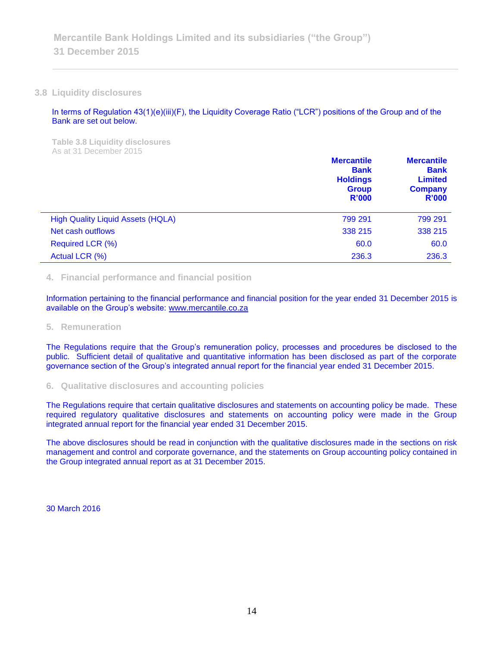# **3.8 Liquidity disclosures**

In terms of Regulation 43(1)(e)(iii)(F), the Liquidity Coverage Ratio ("LCR") positions of the Group and of the Bank are set out below.

**Table 3.8 Liquidity disclosures** As at 31 December 2015

|                                          | <b>Mercantile</b><br><b>Bank</b><br><b>Holdings</b><br><b>Group</b><br>R'000 | <b>Mercantile</b><br><b>Bank</b><br><b>Limited</b><br><b>Company</b><br><b>R'000</b> |
|------------------------------------------|------------------------------------------------------------------------------|--------------------------------------------------------------------------------------|
| <b>High Quality Liquid Assets (HQLA)</b> | 799 291                                                                      | 799 291                                                                              |
| Net cash outflows                        | 338 215                                                                      | 338 215                                                                              |
| Required LCR (%)                         | 60.0                                                                         | 60.0                                                                                 |
| Actual LCR (%)                           | 236.3                                                                        | 236.3                                                                                |

## **4. Financial performance and financial position**

Information pertaining to the financial performance and financial position for the year ended 31 December 2015 is available on the Group's website: [www.mercantile.co.za](http://www.mercantile.co.za/)

#### **5. Remuneration**

The Regulations require that the Group's remuneration policy, processes and procedures be disclosed to the public. Sufficient detail of qualitative and quantitative information has been disclosed as part of the corporate governance section of the Group's integrated annual report for the financial year ended 31 December 2015.

## **6. Qualitative disclosures and accounting policies**

The Regulations require that certain qualitative disclosures and statements on accounting policy be made. These required regulatory qualitative disclosures and statements on accounting policy were made in the Group integrated annual report for the financial year ended 31 December 2015.

The above disclosures should be read in conjunction with the qualitative disclosures made in the sections on risk management and control and corporate governance, and the statements on Group accounting policy contained in the Group integrated annual report as at 31 December 2015.

30 March 2016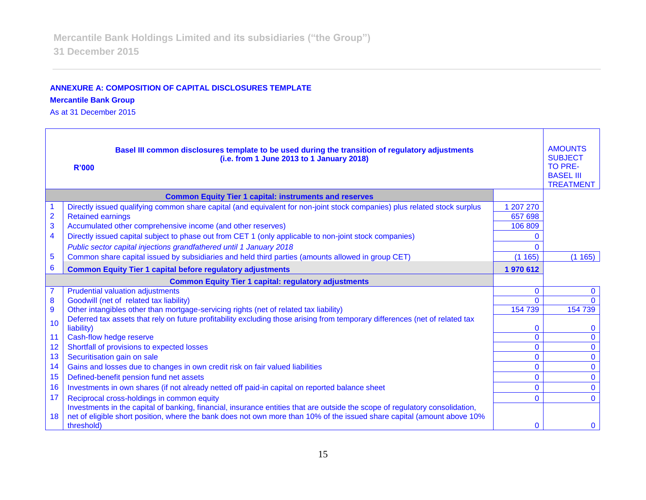# **ANNEXURE A: COMPOSITION OF CAPITAL DISCLOSURES TEMPLATE**

## **Mercantile Bank Group**

As at 31 December 2015

| Basel III common disclosures template to be used during the transition of regulatory adjustments<br>(i.e. from 1 June 2013 to 1 January 2018)<br><b>R'000</b> |                                                                                                                                       |                |              |
|---------------------------------------------------------------------------------------------------------------------------------------------------------------|---------------------------------------------------------------------------------------------------------------------------------------|----------------|--------------|
|                                                                                                                                                               | <b>Common Equity Tier 1 capital: instruments and reserves</b>                                                                         |                |              |
|                                                                                                                                                               | Directly issued qualifying common share capital (and equivalent for non-joint stock companies) plus related stock surplus             | 207 270        |              |
| $\overline{2}$                                                                                                                                                | <b>Retained earnings</b>                                                                                                              | 657 698        |              |
| 3                                                                                                                                                             | Accumulated other comprehensive income (and other reserves)                                                                           | 106 809        |              |
| $\overline{\mathbf{4}}$                                                                                                                                       | Directly issued capital subject to phase out from CET 1 (only applicable to non-joint stock companies)                                | 0              |              |
|                                                                                                                                                               | Public sector capital injections grandfathered until 1 January 2018                                                                   | $\Omega$       |              |
| $\overline{5}$                                                                                                                                                | Common share capital issued by subsidiaries and held third parties (amounts allowed in group CET)                                     | (1165)         | (1165)       |
| 6                                                                                                                                                             | <b>Common Equity Tier 1 capital before regulatory adjustments</b>                                                                     | 1970612        |              |
|                                                                                                                                                               | <b>Common Equity Tier 1 capital: regulatory adjustments</b>                                                                           |                |              |
| $\overline{7}$                                                                                                                                                | <b>Prudential valuation adjustments</b>                                                                                               | 0              | $\mathbf{0}$ |
| 8                                                                                                                                                             | Goodwill (net of related tax liability)                                                                                               | $\Omega$       |              |
| 9                                                                                                                                                             | Other intangibles other than mortgage-servicing rights (net of related tax liability)                                                 | 154 739        | 154 739      |
| 10                                                                                                                                                            | Deferred tax assets that rely on future profitability excluding those arising from temporary differences (net of related tax          |                |              |
|                                                                                                                                                               | liability)                                                                                                                            | 0              | 0            |
| 11                                                                                                                                                            | Cash-flow hedge reserve                                                                                                               | $\overline{0}$ | $\Omega$     |
| 12                                                                                                                                                            | Shortfall of provisions to expected losses                                                                                            | $\Omega$       | $\Omega$     |
| 13                                                                                                                                                            | Securitisation gain on sale                                                                                                           | 0              | $\mathbf{0}$ |
| 14                                                                                                                                                            | Gains and losses due to changes in own credit risk on fair valued liabilities                                                         | 0              | $\mathbf{0}$ |
| 15                                                                                                                                                            | Defined-benefit pension fund net assets                                                                                               | $\Omega$       | $\mathbf{0}$ |
| 16                                                                                                                                                            | Investments in own shares (if not already netted off paid-in capital on reported balance sheet                                        | $\Omega$       | $\Omega$     |
| 17                                                                                                                                                            | Reciprocal cross-holdings in common equity                                                                                            | $\Omega$       | $\Omega$     |
|                                                                                                                                                               | Investments in the capital of banking, financial, insurance entities that are outside the scope of regulatory consolidation,          |                |              |
| 18                                                                                                                                                            | net of eligible short position, where the bank does not own more than 10% of the issued share capital (amount above 10%<br>threshold) | $\mathbf{0}$   | $\mathbf{0}$ |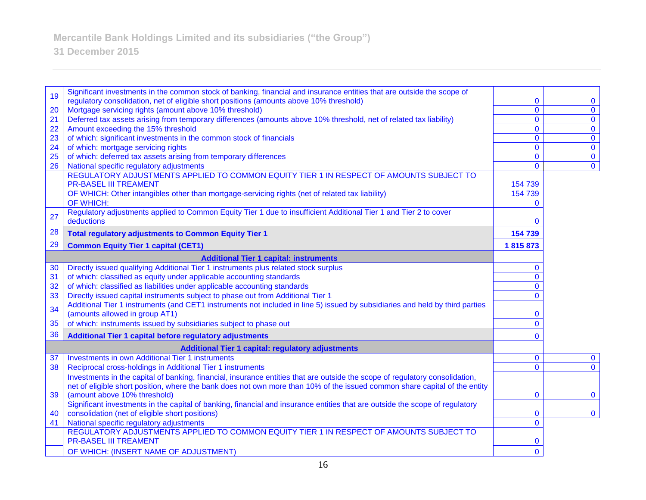**31 December 2015**

| 19 | Significant investments in the common stock of banking, financial and insurance entities that are outside the scope of                                                          |                |                |
|----|---------------------------------------------------------------------------------------------------------------------------------------------------------------------------------|----------------|----------------|
|    | regulatory consolidation, net of eligible short positions (amounts above 10% threshold)                                                                                         | 0              | $\mathbf 0$    |
| 20 | Mortgage servicing rights (amount above 10% threshold)                                                                                                                          | $\mathbf{O}$   | $\mathbf 0$    |
| 21 | Deferred tax assets arising from temporary differences (amounts above 10% threshold, net of related tax liability)                                                              | $\overline{0}$ | $\mathbf{0}$   |
| 22 | Amount exceeding the 15% threshold                                                                                                                                              | $\mathbf 0$    | $\mathbf 0$    |
| 23 | of which: significant investments in the common stock of financials                                                                                                             | $\mathbf 0$    | $\mathbf 0$    |
| 24 | of which: mortgage servicing rights                                                                                                                                             | $\mathbf 0$    | $\mathbf 0$    |
| 25 | of which: deferred tax assets arising from temporary differences                                                                                                                | $\mathbf 0$    | $\mathbf 0$    |
| 26 | National specific regulatory adjustments                                                                                                                                        | $\mathbf 0$    | $\overline{0}$ |
|    | REGULATORY ADJUSTMENTS APPLIED TO COMMON EQUITY TIER 1 IN RESPECT OF AMOUNTS SUBJECT TO<br><b>PR-BASEL III TREAMENT</b>                                                         | 154 739        |                |
|    | OF WHICH: Other intangibles other than mortgage-servicing rights (net of related tax liability)                                                                                 | 154 739        |                |
|    | OF WHICH:                                                                                                                                                                       | $\mathbf{0}$   |                |
| 27 | Regulatory adjustments applied to Common Equity Tier 1 due to insufficient Additional Tier 1 and Tier 2 to cover<br>deductions                                                  | 0              |                |
| 28 | <b>Total regulatory adjustments to Common Equity Tier 1</b>                                                                                                                     | 154 739        |                |
| 29 | <b>Common Equity Tier 1 capital (CET1)</b>                                                                                                                                      | 1815873        |                |
|    | <b>Additional Tier 1 capital: instruments</b>                                                                                                                                   |                |                |
| 30 | Directly issued qualifying Additional Tier 1 instruments plus related stock surplus                                                                                             | $\mathbf{0}$   |                |
| 31 | of which: classified as equity under applicable accounting standards                                                                                                            | $\mathbf{0}$   |                |
| 32 | of which: classified as liabilities under applicable accounting standards                                                                                                       | $\mathbf{0}$   |                |
| 33 | Directly issued capital instruments subject to phase out from Additional Tier 1                                                                                                 | $\Omega$       |                |
| 34 | Additional Tier 1 instruments (and CET1 instruments not included in line 5) issued by subsidiaries and held by third parties                                                    |                |                |
|    | (amounts allowed in group AT1)                                                                                                                                                  | 0              |                |
| 35 | of which: instruments issued by subsidiaries subject to phase out                                                                                                               | $\overline{0}$ |                |
| 36 | Additional Tier 1 capital before regulatory adjustments                                                                                                                         | $\Omega$       |                |
|    | <b>Additional Tier 1 capital: regulatory adjustments</b>                                                                                                                        |                |                |
| 37 | <b>Investments in own Additional Tier 1 instruments</b>                                                                                                                         | $\bf{0}$       | $\bf{0}$       |
| 38 | Reciprocal cross-holdings in Additional Tier 1 instruments                                                                                                                      | $\Omega$       | $\mathbf{0}$   |
|    | Investments in the capital of banking, financial, insurance entities that are outside the scope of regulatory consolidation,                                                    |                |                |
|    | net of eligible short position, where the bank does not own more than 10% of the issued common share capital of the entity                                                      |                |                |
| 39 | (amount above 10% threshold)                                                                                                                                                    | $\mathbf 0$    | $\mathbf 0$    |
| 40 | Significant investments in the capital of banking, financial and insurance entities that are outside the scope of regulatory<br>consolidation (net of eligible short positions) | 0              | $\mathbf 0$    |
| 41 | National specific regulatory adjustments                                                                                                                                        | $\mathbf{0}$   |                |
|    | REGULATORY ADJUSTMENTS APPLIED TO COMMON EQUITY TIER 1 IN RESPECT OF AMOUNTS SUBJECT TO<br><b>PR-BASEL III TREAMENT</b>                                                         |                |                |
|    |                                                                                                                                                                                 | 0              |                |
|    | OF WHICH: (INSERT NAME OF ADJUSTMENT)                                                                                                                                           | $\overline{0}$ |                |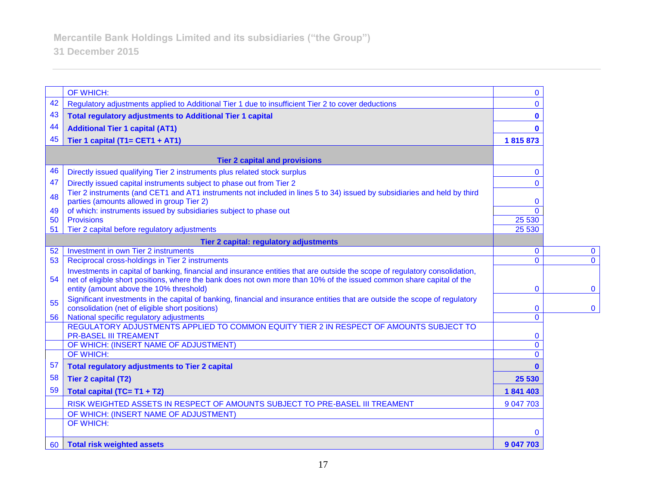|    | OF WHICH:                                                                                                                                                                       | $\mathbf 0$    |             |
|----|---------------------------------------------------------------------------------------------------------------------------------------------------------------------------------|----------------|-------------|
| 42 | Regulatory adjustments applied to Additional Tier 1 due to insufficient Tier 2 to cover deductions                                                                              | $\mathbf{0}$   |             |
| 43 | <b>Total regulatory adjustments to Additional Tier 1 capital</b>                                                                                                                | $\mathbf 0$    |             |
| 44 | <b>Additional Tier 1 capital (AT1)</b>                                                                                                                                          | $\bf{0}$       |             |
| 45 | Tier 1 capital (T1= CET1 + AT1)                                                                                                                                                 | 1815873        |             |
|    |                                                                                                                                                                                 |                |             |
|    | <b>Tier 2 capital and provisions</b>                                                                                                                                            |                |             |
| 46 | Directly issued qualifying Tier 2 instruments plus related stock surplus                                                                                                        | $\mathbf 0$    |             |
| 47 | Directly issued capital instruments subject to phase out from Tier 2                                                                                                            | $\mathbf{0}$   |             |
| 48 | Tier 2 instruments (and CET1 and AT1 instruments not included in lines 5 to 34) issued by subsidiaries and held by third<br>parties (amounts allowed in group Tier 2)           | $\mathbf 0$    |             |
| 49 | of which: instruments issued by subsidiaries subject to phase out                                                                                                               | $\Omega$       |             |
| 50 | <b>Provisions</b>                                                                                                                                                               | 25 530         |             |
| 51 | Tier 2 capital before regulatory adjustments                                                                                                                                    | 25 5 30        |             |
|    | Tier 2 capital: regulatory adjustments                                                                                                                                          |                |             |
| 52 | Investment in own Tier 2 instruments                                                                                                                                            | $\mathbf 0$    | $\bf{0}$    |
| 53 | Reciprocal cross-holdings in Tier 2 instruments                                                                                                                                 | $\Omega$       | $\Omega$    |
|    | Investments in capital of banking, financial and insurance entities that are outside the scope of regulatory consolidation,                                                     |                |             |
| 54 | net of eligible short positions, where the bank does not own more than 10% of the issued common share capital of the                                                            |                |             |
|    | entity (amount above the 10% threshold)                                                                                                                                         | $\bf{0}$       | $\mathbf 0$ |
| 55 | Significant investments in the capital of banking, financial and insurance entities that are outside the scope of regulatory<br>consolidation (net of eligible short positions) | $\mathbf 0$    | $\bf{0}$    |
| 56 | National specific regulatory adjustments                                                                                                                                        | $\overline{0}$ |             |
|    | REGULATORY ADJUSTMENTS APPLIED TO COMMON EQUITY TIER 2 IN RESPECT OF AMOUNTS SUBJECT TO<br><b>PR-BASEL III TREAMENT</b>                                                         | $\mathbf 0$    |             |
|    | OF WHICH: (INSERT NAME OF ADJUSTMENT)                                                                                                                                           | $\overline{0}$ |             |
|    | <b>OF WHICH:</b>                                                                                                                                                                | $\Omega$       |             |
| 57 | <b>Total regulatory adjustments to Tier 2 capital</b>                                                                                                                           | $\mathbf{0}$   |             |
| 58 | <b>Tier 2 capital (T2)</b>                                                                                                                                                      | 25 530         |             |
| 59 | Total capital (TC= T1 + T2)                                                                                                                                                     | 1841403        |             |
|    | RISK WEIGHTED ASSETS IN RESPECT OF AMOUNTS SUBJECT TO PRE-BASEL III TREAMENT                                                                                                    | 9 047 703      |             |
|    | OF WHICH: (INSERT NAME OF ADJUSTMENT)                                                                                                                                           |                |             |
|    | OF WHICH:                                                                                                                                                                       | $\mathbf{0}$   |             |
| 60 | Total risk weighted assets                                                                                                                                                      | 9 047 703      |             |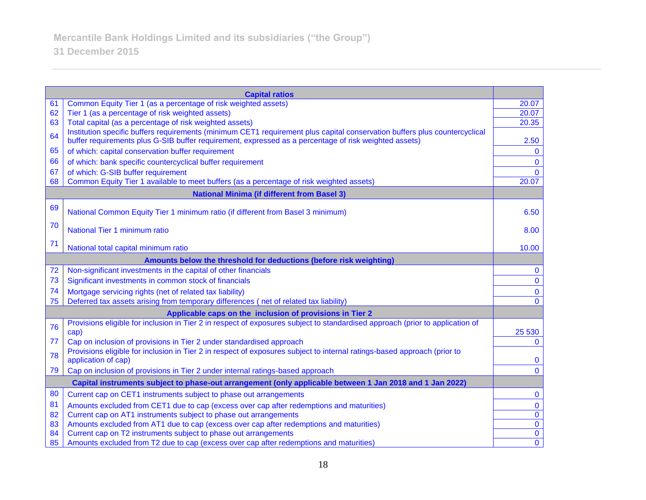| <b>Capital ratios</b>                                              |                                                                                                                                                 |                |  |
|--------------------------------------------------------------------|-------------------------------------------------------------------------------------------------------------------------------------------------|----------------|--|
| 61                                                                 | Common Equity Tier 1 (as a percentage of risk weighted assets)                                                                                  | 20.07          |  |
| 62                                                                 | Tier 1 (as a percentage of risk weighted assets)                                                                                                | 20.07          |  |
| 63                                                                 | Total capital (as a percentage of risk weighted assets)                                                                                         | 20.35          |  |
| 64                                                                 | Institution specific buffers requirements (minimum CET1 requirement plus capital conservation buffers plus countercyclical                      |                |  |
|                                                                    | buffer requirements plus G-SIB buffer requirement, expressed as a percentage of risk weighted assets)                                           | 2.50           |  |
| 65                                                                 | of which: capital conservation buffer requirement                                                                                               | $\mathbf{0}$   |  |
| 66                                                                 | of which: bank specific countercyclical buffer requirement                                                                                      | $\mathbf 0$    |  |
| 67                                                                 | of which: G-SIB buffer requirement                                                                                                              | $\mathbf{0}$   |  |
| 68                                                                 | Common Equity Tier 1 available to meet buffers (as a percentage of risk weighted assets)                                                        | 20.07          |  |
|                                                                    | <b>National Minima (if different from Basel 3)</b>                                                                                              |                |  |
| 69                                                                 | National Common Equity Tier 1 minimum ratio (if different from Basel 3 minimum)                                                                 | 6.50           |  |
| 70                                                                 | National Tier 1 minimum ratio                                                                                                                   | 8.00           |  |
| 71                                                                 | National total capital minimum ratio                                                                                                            | 10.00          |  |
| Amounts below the threshold for deductions (before risk weighting) |                                                                                                                                                 |                |  |
| 72                                                                 | Non-significant investments in the capital of other financials                                                                                  | $\mathbf{0}$   |  |
| 73                                                                 | Significant investments in common stock of financials                                                                                           | $\mathbf 0$    |  |
| 74                                                                 | Mortgage servicing rights (net of related tax liability)                                                                                        | $\mathbf 0$    |  |
| 75                                                                 | Deferred tax assets arising from temporary differences (net of related tax liability)                                                           | $\Omega$       |  |
| Applicable caps on the inclusion of provisions in Tier 2           |                                                                                                                                                 |                |  |
| 76                                                                 | Provisions eligible for inclusion in Tier 2 in respect of exposures subject to standardised approach (prior to application of                   |                |  |
|                                                                    | cap)                                                                                                                                            | 25 530         |  |
| 77                                                                 | Cap on inclusion of provisions in Tier 2 under standardised approach                                                                            | $\mathbf{0}$   |  |
| 78                                                                 | Provisions eligible for inclusion in Tier 2 in respect of exposures subject to internal ratings-based approach (prior to<br>application of cap) | $\mathbf{0}$   |  |
| 79                                                                 | Cap on inclusion of provisions in Tier 2 under internal ratings-based approach                                                                  | $\mathbf{0}$   |  |
|                                                                    | Capital instruments subject to phase-out arrangement (only applicable between 1 Jan 2018 and 1 Jan 2022)                                        |                |  |
| 80                                                                 | Current cap on CET1 instruments subject to phase out arrangements                                                                               | $\mathbf 0$    |  |
| 81                                                                 | Amounts excluded from CET1 due to cap (excess over cap after redemptions and maturities)                                                        | $\mathbf 0$    |  |
| 82                                                                 | Current cap on AT1 instruments subject to phase out arrangements                                                                                | $\pmb{0}$      |  |
| 83                                                                 | Amounts excluded from AT1 due to cap (excess over cap after redemptions and maturities)                                                         | $\overline{0}$ |  |
| 84                                                                 | Current cap on T2 instruments subject to phase out arrangements                                                                                 | $\overline{0}$ |  |
| 85                                                                 | Amounts excluded from T2 due to cap (excess over cap after redemptions and maturities)                                                          | $\overline{0}$ |  |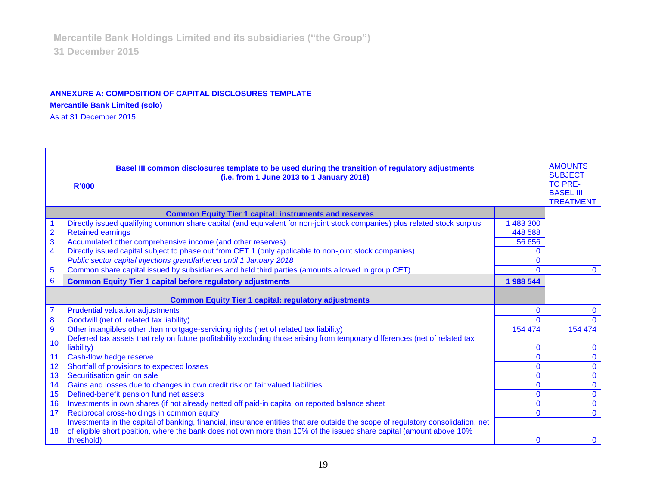# **ANNEXURE A: COMPOSITION OF CAPITAL DISCLOSURES TEMPLATE**

**Mercantile Bank Limited (solo)**

As at 31 December 2015

| Basel III common disclosures template to be used during the transition of regulatory adjustments<br>(i.e. from 1 June 2013 to 1 January 2018)<br><b>TO PRE-</b><br>R'000 |                                                                                                                                                                                                                                                         |                |                |
|--------------------------------------------------------------------------------------------------------------------------------------------------------------------------|---------------------------------------------------------------------------------------------------------------------------------------------------------------------------------------------------------------------------------------------------------|----------------|----------------|
|                                                                                                                                                                          | <b>Common Equity Tier 1 capital: instruments and reserves</b>                                                                                                                                                                                           |                |                |
|                                                                                                                                                                          | Directly issued qualifying common share capital (and equivalent for non-joint stock companies) plus related stock surplus                                                                                                                               | 483 300        |                |
| $\overline{\mathbf{2}}$                                                                                                                                                  | <b>Retained earnings</b>                                                                                                                                                                                                                                | 448 588        |                |
| 3                                                                                                                                                                        | Accumulated other comprehensive income (and other reserves)                                                                                                                                                                                             | 56 656         |                |
| $\overline{\mathbf{4}}$                                                                                                                                                  | Directly issued capital subject to phase out from CET 1 (only applicable to non-joint stock companies)                                                                                                                                                  |                |                |
|                                                                                                                                                                          | Public sector capital injections grandfathered until 1 January 2018                                                                                                                                                                                     | $\mathbf{0}$   |                |
| 5                                                                                                                                                                        | Common share capital issued by subsidiaries and held third parties (amounts allowed in group CET)                                                                                                                                                       | $\mathbf{0}$   | $\mathbf{0}$   |
| 6                                                                                                                                                                        | <b>Common Equity Tier 1 capital before regulatory adjustments</b>                                                                                                                                                                                       | 1 988 544      |                |
| <b>Common Equity Tier 1 capital: regulatory adjustments</b>                                                                                                              |                                                                                                                                                                                                                                                         |                |                |
| $\overline{7}$                                                                                                                                                           | <b>Prudential valuation adjustments</b>                                                                                                                                                                                                                 | $\mathbf{0}$   | $\mathbf{0}$   |
| $\bf{8}$                                                                                                                                                                 | Goodwill (net of related tax liability)                                                                                                                                                                                                                 | $\Omega$       | $\Omega$       |
| 9                                                                                                                                                                        | Other intangibles other than mortgage-servicing rights (net of related tax liability)                                                                                                                                                                   | 154 474        | 154 474        |
| 10                                                                                                                                                                       | Deferred tax assets that rely on future profitability excluding those arising from temporary differences (net of related tax                                                                                                                            |                |                |
|                                                                                                                                                                          | liability)                                                                                                                                                                                                                                              | $\bf{0}$       | $\bf{0}$       |
| 11                                                                                                                                                                       | Cash-flow hedge reserve                                                                                                                                                                                                                                 | $\overline{0}$ | $\mathbf{0}$   |
| 12                                                                                                                                                                       | Shortfall of provisions to expected losses                                                                                                                                                                                                              | $\mathbf{0}$   | $\mathbf{0}$   |
| 13                                                                                                                                                                       | Securitisation gain on sale                                                                                                                                                                                                                             | $\mathbf 0$    | $\mathbf 0$    |
| 14                                                                                                                                                                       | Gains and losses due to changes in own credit risk on fair valued liabilities                                                                                                                                                                           | $\mathbf 0$    | $\overline{0}$ |
| 15                                                                                                                                                                       | Defined-benefit pension fund net assets                                                                                                                                                                                                                 | $\mathbf{0}$   | $\mathbf 0$    |
| 16                                                                                                                                                                       | Investments in own shares (if not already netted off paid-in capital on reported balance sheet                                                                                                                                                          | $\mathbf 0$    | $\mathbf 0$    |
| 17                                                                                                                                                                       | Reciprocal cross-holdings in common equity                                                                                                                                                                                                              | $\overline{0}$ | $\Omega$       |
| 18                                                                                                                                                                       | Investments in the capital of banking, financial, insurance entities that are outside the scope of regulatory consolidation, net<br>of eligible short position, where the bank does not own more than 10% of the issued share capital (amount above 10% |                |                |
|                                                                                                                                                                          | threshold)                                                                                                                                                                                                                                              | $\Omega$       | $\mathbf{0}$   |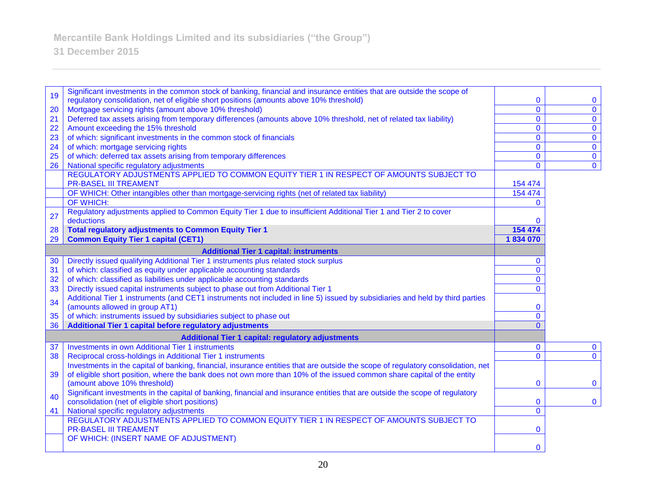**31 December 2015**

| 19 | Significant investments in the common stock of banking, financial and insurance entities that are outside the scope of           |                |                |
|----|----------------------------------------------------------------------------------------------------------------------------------|----------------|----------------|
|    | regulatory consolidation, net of eligible short positions (amounts above 10% threshold)                                          | $\mathbf{0}$   | $\mathbf 0$    |
| 20 | Mortgage servicing rights (amount above 10% threshold)                                                                           | $\overline{0}$ | $\mathbf 0$    |
| 21 | Deferred tax assets arising from temporary differences (amounts above 10% threshold, net of related tax liability)               | $\mathbf{0}$   | $\overline{0}$ |
| 22 | Amount exceeding the 15% threshold                                                                                               | $\mathbf{0}$   | $\mathbf{0}$   |
| 23 | of which: significant investments in the common stock of financials                                                              | $\mathbf{0}$   | $\overline{0}$ |
| 24 | of which: mortgage servicing rights                                                                                              | $\mathbf 0$    | $\overline{0}$ |
| 25 | of which: deferred tax assets arising from temporary differences                                                                 | 0              | $\mathbf 0$    |
| 26 | National specific regulatory adjustments                                                                                         | $\mathbf{0}$   | $\mathbf 0$    |
|    | REGULATORY ADJUSTMENTS APPLIED TO COMMON EQUITY TIER 1 IN RESPECT OF AMOUNTS SUBJECT TO                                          |                |                |
|    | <b>PR-BASEL III TREAMENT</b>                                                                                                     | 154 474        |                |
|    | OF WHICH: Other intangibles other than mortgage-servicing rights (net of related tax liability)                                  | 154 474        |                |
|    | OF WHICH:                                                                                                                        | $\Omega$       |                |
| 27 | Regulatory adjustments applied to Common Equity Tier 1 due to insufficient Additional Tier 1 and Tier 2 to cover                 |                |                |
|    | deductions                                                                                                                       | 0              |                |
| 28 | <b>Total regulatory adjustments to Common Equity Tier 1</b>                                                                      | 154 474        |                |
| 29 | <b>Common Equity Tier 1 capital (CET1)</b>                                                                                       | 1834070        |                |
|    | <b>Additional Tier 1 capital: instruments</b>                                                                                    |                |                |
| 30 | Directly issued qualifying Additional Tier 1 instruments plus related stock surplus                                              | 0              |                |
| 31 | of which: classified as equity under applicable accounting standards                                                             | $\mathbf{0}$   |                |
| 32 | of which: classified as liabilities under applicable accounting standards                                                        | $\mathbf{0}$   |                |
| 33 | Directly issued capital instruments subject to phase out from Additional Tier 1                                                  | $\mathbf{0}$   |                |
| 34 | Additional Tier 1 instruments (and CET1 instruments not included in line 5) issued by subsidiaries and held by third parties     |                |                |
|    | (amounts allowed in group AT1)                                                                                                   | 0              |                |
| 35 | of which: instruments issued by subsidiaries subject to phase out                                                                | $\overline{0}$ |                |
| 36 | Additional Tier 1 capital before regulatory adjustments                                                                          | $\Omega$       |                |
|    | <b>Additional Tier 1 capital: regulatory adjustments</b>                                                                         |                |                |
| 37 | Investments in own Additional Tier 1 instruments                                                                                 | $\mathbf{0}$   | $\mathbf{0}$   |
| 38 | Reciprocal cross-holdings in Additional Tier 1 instruments                                                                       | $\Omega$       | $\mathbf{0}$   |
|    | Investments in the capital of banking, financial, insurance entities that are outside the scope of regulatory consolidation, net |                |                |
| 39 | of eligible short position, where the bank does not own more than 10% of the issued common share capital of the entity           |                |                |
|    | (amount above 10% threshold)                                                                                                     | 0              | $\mathbf{0}$   |
| 40 | Significant investments in the capital of banking, financial and insurance entities that are outside the scope of regulatory     |                |                |
|    | consolidation (net of eligible short positions)                                                                                  | 0              | $\mathbf{0}$   |
| 41 | National specific regulatory adjustments                                                                                         | 0              |                |
|    | REGULATORY ADJUSTMENTS APPLIED TO COMMON EQUITY TIER 1 IN RESPECT OF AMOUNTS SUBJECT TO                                          |                |                |
|    | <b>PR-BASEL III TREAMENT</b>                                                                                                     | 0              |                |
|    | OF WHICH: (INSERT NAME OF ADJUSTMENT)                                                                                            |                |                |
|    |                                                                                                                                  | $\mathbf{0}$   |                |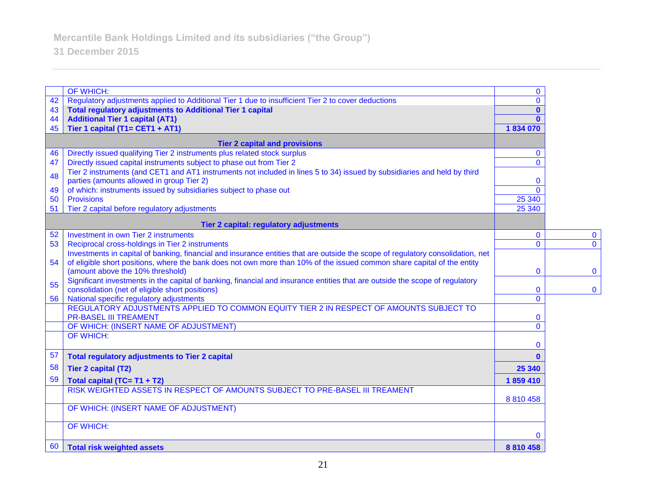**31 December 2015**

|                                      | OF WHICH:                                                                                                                                                             | $\mathbf 0$  |              |
|--------------------------------------|-----------------------------------------------------------------------------------------------------------------------------------------------------------------------|--------------|--------------|
| 42                                   | Regulatory adjustments applied to Additional Tier 1 due to insufficient Tier 2 to cover deductions                                                                    | $\mathbf{0}$ |              |
| 43                                   | <b>Total regulatory adjustments to Additional Tier 1 capital</b>                                                                                                      | $\mathbf{0}$ |              |
| 44                                   | <b>Additional Tier 1 capital (AT1)</b>                                                                                                                                | $\mathbf{0}$ |              |
| 45                                   | Tier 1 capital (T1= CET1 + AT1)                                                                                                                                       | 1834070      |              |
| <b>Tier 2 capital and provisions</b> |                                                                                                                                                                       |              |              |
| 46                                   | Directly issued qualifying Tier 2 instruments plus related stock surplus                                                                                              | $\mathbf{0}$ |              |
| 47                                   | Directly issued capital instruments subject to phase out from Tier 2                                                                                                  | $\Omega$     |              |
| 48                                   | Tier 2 instruments (and CET1 and AT1 instruments not included in lines 5 to 34) issued by subsidiaries and held by third<br>parties (amounts allowed in group Tier 2) | $\mathbf 0$  |              |
| 49                                   | of which: instruments issued by subsidiaries subject to phase out                                                                                                     | $\Omega$     |              |
| 50                                   | <b>Provisions</b>                                                                                                                                                     | 25 340       |              |
| 51                                   | Tier 2 capital before regulatory adjustments                                                                                                                          | 25 340       |              |
|                                      | Tier 2 capital: regulatory adjustments                                                                                                                                |              |              |
| 52                                   | Investment in own Tier 2 instruments                                                                                                                                  | $\mathbf{0}$ | $\mathbf 0$  |
| 53                                   | Reciprocal cross-holdings in Tier 2 instruments                                                                                                                       | $\Omega$     | $\mathbf{0}$ |
|                                      | Investments in capital of banking, financial and insurance entities that are outside the scope of regulatory consolidation, net                                       |              |              |
| 54                                   | of eligible short positions, where the bank does not own more than 10% of the issued common share capital of the entity                                               |              |              |
|                                      | (amount above the 10% threshold)                                                                                                                                      | $\mathbf 0$  | $\mathbf 0$  |
| 55                                   | Significant investments in the capital of banking, financial and insurance entities that are outside the scope of regulatory                                          |              |              |
|                                      | consolidation (net of eligible short positions)                                                                                                                       | $\mathbf 0$  | $\mathbf{0}$ |
| 56                                   | National specific regulatory adjustments                                                                                                                              | $\mathbf{0}$ |              |
|                                      | REGULATORY ADJUSTMENTS APPLIED TO COMMON EQUITY TIER 2 IN RESPECT OF AMOUNTS SUBJECT TO<br><b>PR-BASEL III TREAMENT</b>                                               | $\mathbf 0$  |              |
|                                      | OF WHICH: (INSERT NAME OF ADJUSTMENT)                                                                                                                                 | $\mathbf{0}$ |              |
|                                      | OF WHICH:                                                                                                                                                             |              |              |
|                                      |                                                                                                                                                                       | $\mathbf 0$  |              |
| 57                                   | <b>Total regulatory adjustments to Tier 2 capital</b>                                                                                                                 | $\mathbf{0}$ |              |
| 58                                   | <b>Tier 2 capital (T2)</b>                                                                                                                                            | 25 340       |              |
| 59                                   | Total capital (TC= T1 + T2)                                                                                                                                           | 1859410      |              |
|                                      | RISK WEIGHTED ASSETS IN RESPECT OF AMOUNTS SUBJECT TO PRE-BASEL III TREAMENT                                                                                          |              |              |
|                                      |                                                                                                                                                                       | 8 8 10 4 5 8 |              |
|                                      | OF WHICH: (INSERT NAME OF ADJUSTMENT)                                                                                                                                 |              |              |
|                                      | <b>OF WHICH:</b>                                                                                                                                                      |              |              |
|                                      |                                                                                                                                                                       | $\Omega$     |              |
| 60                                   | <b>Total risk weighted assets</b>                                                                                                                                     | 8 8 10 4 58  |              |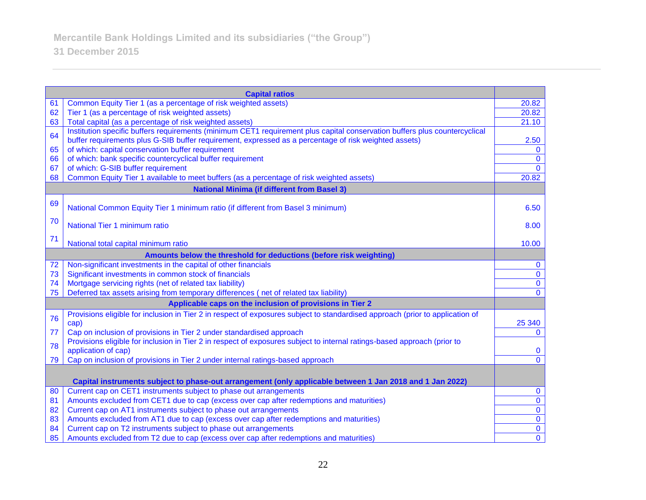| <b>Capital ratios</b>                                              |                                                                                                                               |                    |  |
|--------------------------------------------------------------------|-------------------------------------------------------------------------------------------------------------------------------|--------------------|--|
| 61                                                                 | Common Equity Tier 1 (as a percentage of risk weighted assets)                                                                | $\overline{20.82}$ |  |
| 62                                                                 | Tier 1 (as a percentage of risk weighted assets)                                                                              | 20.82              |  |
| 63                                                                 | Total capital (as a percentage of risk weighted assets)                                                                       | 21.10              |  |
| 64                                                                 | Institution specific buffers requirements (minimum CET1 requirement plus capital conservation buffers plus countercyclical    |                    |  |
|                                                                    | buffer requirements plus G-SIB buffer requirement, expressed as a percentage of risk weighted assets)                         | 2.50               |  |
| 65                                                                 | of which: capital conservation buffer requirement                                                                             | $\mathbf{0}$       |  |
| 66                                                                 | of which: bank specific countercyclical buffer requirement                                                                    | $\mathbf 0$        |  |
| 67                                                                 | of which: G-SIB buffer requirement                                                                                            | $\mathbf{0}$       |  |
| 68                                                                 | Common Equity Tier 1 available to meet buffers (as a percentage of risk weighted assets)                                      | 20.82              |  |
|                                                                    | <b>National Minima (if different from Basel 3)</b>                                                                            |                    |  |
| 69                                                                 | National Common Equity Tier 1 minimum ratio (if different from Basel 3 minimum)                                               | 6.50               |  |
|                                                                    |                                                                                                                               |                    |  |
| 70                                                                 | National Tier 1 minimum ratio                                                                                                 | 8.00               |  |
| 71                                                                 |                                                                                                                               |                    |  |
|                                                                    | National total capital minimum ratio                                                                                          | 10.00              |  |
| Amounts below the threshold for deductions (before risk weighting) |                                                                                                                               |                    |  |
| 72                                                                 | Non-significant investments in the capital of other financials                                                                | $\mathbf{0}$       |  |
| 73                                                                 | Significant investments in common stock of financials                                                                         | $\mathbf{0}$       |  |
| 74                                                                 | Mortgage servicing rights (net of related tax liability)                                                                      | $\mathbf{0}$       |  |
| 75                                                                 | Deferred tax assets arising from temporary differences (net of related tax liability)                                         | $\mathbf{0}$       |  |
|                                                                    | Applicable caps on the inclusion of provisions in Tier 2                                                                      |                    |  |
| 76                                                                 | Provisions eligible for inclusion in Tier 2 in respect of exposures subject to standardised approach (prior to application of |                    |  |
|                                                                    | cap)                                                                                                                          | 25 340             |  |
| 77                                                                 | Cap on inclusion of provisions in Tier 2 under standardised approach                                                          | $\mathbf{0}$       |  |
| 78                                                                 | Provisions eligible for inclusion in Tier 2 in respect of exposures subject to internal ratings-based approach (prior to      |                    |  |
|                                                                    | application of cap)                                                                                                           | $\bf{0}$           |  |
| 79                                                                 | Cap on inclusion of provisions in Tier 2 under internal ratings-based approach                                                | $\mathbf{0}$       |  |
|                                                                    |                                                                                                                               |                    |  |
|                                                                    | Capital instruments subject to phase-out arrangement (only applicable between 1 Jan 2018 and 1 Jan 2022)                      |                    |  |
| 80                                                                 | Current cap on CET1 instruments subject to phase out arrangements                                                             | $\bf{0}$           |  |
| 81                                                                 | Amounts excluded from CET1 due to cap (excess over cap after redemptions and maturities)                                      | $\bf{0}$           |  |
| 82                                                                 | Current cap on AT1 instruments subject to phase out arrangements                                                              | $\bf{0}$           |  |
| 83                                                                 | Amounts excluded from AT1 due to cap (excess over cap after redemptions and maturities)                                       | $\bf{0}$           |  |
| 84                                                                 | Current cap on T2 instruments subject to phase out arrangements                                                               | $\bf{0}$           |  |
| 85                                                                 | Amounts excluded from T2 due to cap (excess over cap after redemptions and maturities)                                        | $\mathbf{0}$       |  |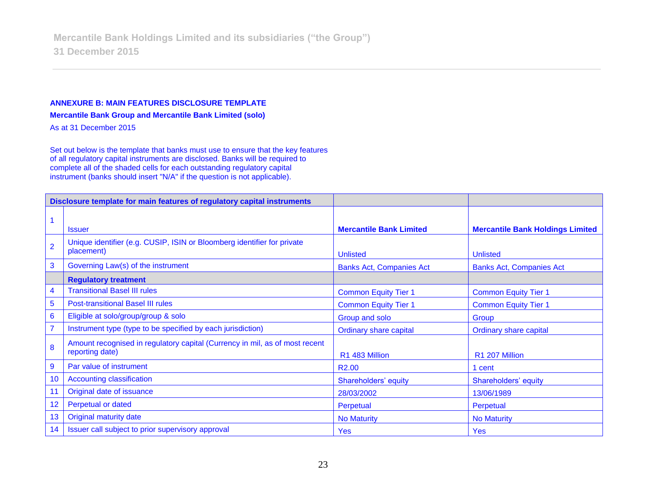#### **ANNEXURE B: MAIN FEATURES DISCLOSURE TEMPLATE**

**Mercantile Bank Group and Mercantile Bank Limited (solo)**

As at 31 December 2015

Set out below is the template that banks must use to ensure that the key features of all regulatory capital instruments are disclosed. Banks will be required to complete all of the shaded cells for each outstanding regulatory capital instrument (banks should insert "N/A" if the question is not applicable).

| Disclosure template for main features of regulatory capital instruments |                                                                                                |                                 |                                         |
|-------------------------------------------------------------------------|------------------------------------------------------------------------------------------------|---------------------------------|-----------------------------------------|
|                                                                         |                                                                                                |                                 |                                         |
|                                                                         | <b>Issuer</b>                                                                                  | <b>Mercantile Bank Limited</b>  | <b>Mercantile Bank Holdings Limited</b> |
| $\overline{2}$                                                          | Unique identifier (e.g. CUSIP, ISIN or Bloomberg identifier for private<br>placement)          | <b>Unlisted</b>                 | <b>Unlisted</b>                         |
| 3                                                                       | Governing Law(s) of the instrument                                                             | <b>Banks Act, Companies Act</b> | <b>Banks Act, Companies Act</b>         |
|                                                                         | <b>Regulatory treatment</b>                                                                    |                                 |                                         |
| $\overline{4}$                                                          | <b>Transitional Basel III rules</b>                                                            | <b>Common Equity Tier 1</b>     | <b>Common Equity Tier 1</b>             |
| $\overline{5}$                                                          | <b>Post-transitional Basel III rules</b>                                                       | <b>Common Equity Tier 1</b>     | <b>Common Equity Tier 1</b>             |
| $6\phantom{1}6$                                                         | Eligible at solo/group/group & solo                                                            | Group and solo                  | Group                                   |
| $\overline{7}$                                                          | Instrument type (type to be specified by each jurisdiction)                                    | <b>Ordinary share capital</b>   | <b>Ordinary share capital</b>           |
| 8                                                                       | Amount recognised in regulatory capital (Currency in mil, as of most recent<br>reporting date) | R1 483 Million                  | R1 207 Million                          |
| $\overline{9}$                                                          | Par value of instrument                                                                        | R <sub>2.00</sub>               | 1 cent                                  |
| 10                                                                      | <b>Accounting classification</b>                                                               | Shareholders' equity            | Shareholders' equity                    |
| 11                                                                      | Original date of issuance                                                                      | 28/03/2002                      | 13/06/1989                              |
| 12                                                                      | Perpetual or dated                                                                             | Perpetual                       | Perpetual                               |
| 13                                                                      | <b>Original maturity date</b>                                                                  | <b>No Maturity</b>              | <b>No Maturity</b>                      |
| 14                                                                      | Issuer call subject to prior supervisory approval                                              | <b>Yes</b>                      | <b>Yes</b>                              |